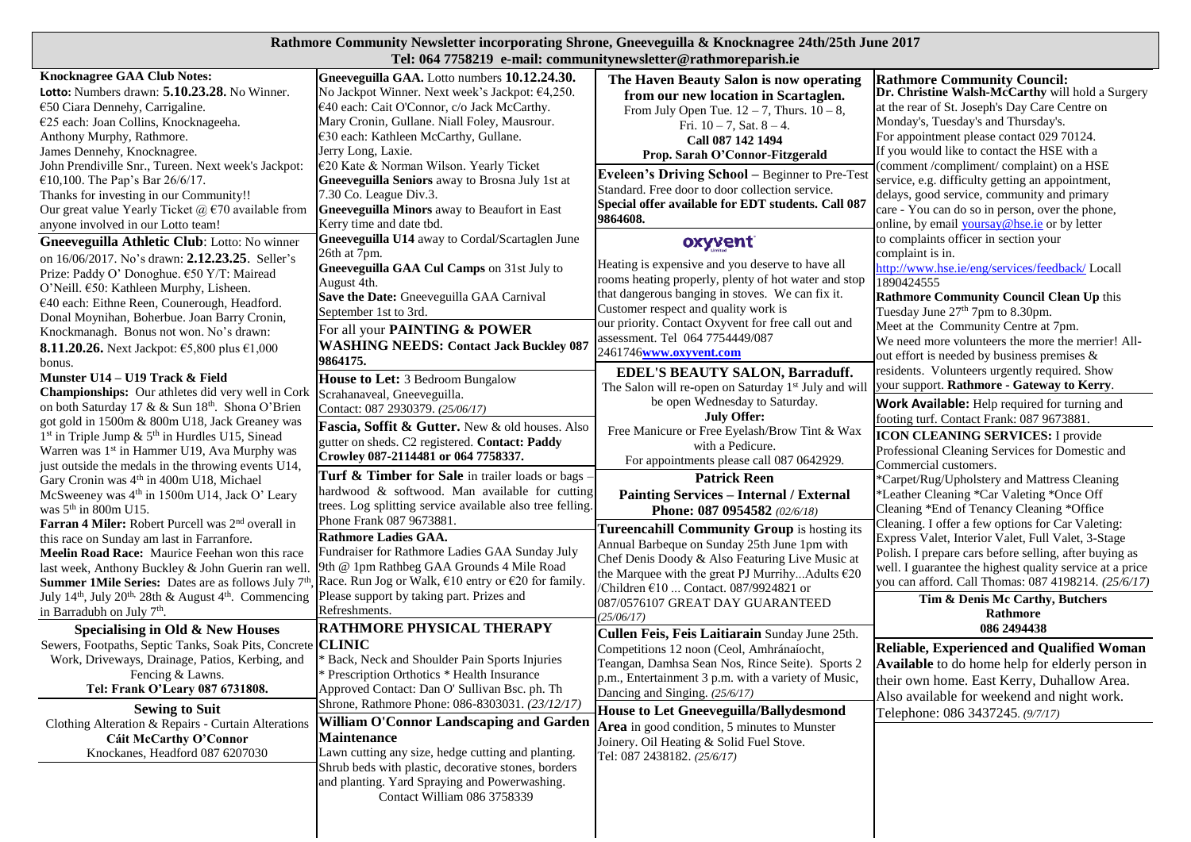## **Rathmore Community Newsletter incorporating Shrone, Gneeveguilla & Knocknagree 24th/25th June 2017 Tel: 064 7758219 e-mail: communitynewsletter@rathmoreparish.ie**

|                                                                                                                                          |                                                                                                 | 1 cl, vv+ //vo=12 - c-man, communityncwsictici @Tatimivi cparismic              |                                                                                        |
|------------------------------------------------------------------------------------------------------------------------------------------|-------------------------------------------------------------------------------------------------|---------------------------------------------------------------------------------|----------------------------------------------------------------------------------------|
| <b>Knocknagree GAA Club Notes:</b><br><b>Lotto:</b> Numbers drawn: $5.10.23.28$ . No Winner.                                             | Gneeveguilla GAA. Lotto numbers 10.12.24.30.<br>No Jackpot Winner. Next week's Jackpot: €4,250. | The Haven Beauty Salon is now operating<br>from our new location in Scartaglen. | <b>Rathmore Community Council:</b><br>Dr. Christine Walsh-McCarthy will hold a Surgery |
| €50 Ciara Dennehy, Carrigaline.                                                                                                          | €40 each: Cait O'Connor, c/o Jack McCarthy.                                                     | From July Open Tue. $12 - 7$ , Thurs. $10 - 8$ ,                                | at the rear of St. Joseph's Day Care Centre on                                         |
| €25 each: Joan Collins, Knocknageeha.                                                                                                    | Mary Cronin, Gullane. Niall Foley, Mausrour.                                                    |                                                                                 | Monday's, Tuesday's and Thursday's.                                                    |
| Anthony Murphy, Rathmore.                                                                                                                | €30 each: Kathleen McCarthy, Gullane.                                                           | Fri. $10 - 7$ , Sat. $8 - 4$ .                                                  | For appointment please contact 029 70124.                                              |
| James Dennehy, Knocknagree.                                                                                                              | Jerry Long, Laxie.                                                                              | Call 087 142 1494                                                               | If you would like to contact the HSE with a                                            |
|                                                                                                                                          | €20 Kate & Norman Wilson. Yearly Ticket                                                         | Prop. Sarah O'Connor-Fitzgerald                                                 | (comment /compliment/ complaint) on a HSE                                              |
| John Prendiville Snr., Tureen. Next week's Jackpot:                                                                                      |                                                                                                 | <b>Eveleen's Driving School - Beginner to Pre-Test</b>                          |                                                                                        |
| €10,100. The Pap's Bar 26/6/17.                                                                                                          | Gneeveguilla Seniors away to Brosna July 1st at                                                 | Standard. Free door to door collection service.                                 | service, e.g. difficulty getting an appointment,                                       |
| Thanks for investing in our Community!!                                                                                                  | 7.30 Co. League Div.3.                                                                          | Special offer available for EDT students. Call 087                              | delays, good service, community and primary                                            |
| Our great value Yearly Ticket $\omega$ €70 available from                                                                                | <b>Gneeveguilla Minors</b> away to Beaufort in East                                             | 9864608.                                                                        | care - You can do so in person, over the phone,                                        |
| anyone involved in our Lotto team!                                                                                                       | Kerry time and date tbd.                                                                        |                                                                                 | online, by email <b>yoursay@hse.ie</b> or by letter                                    |
| Gneeveguilla Athletic Club: Lotto: No winner                                                                                             | Gneeveguilla U14 away to Cordal/Scartaglen June                                                 | oxyvent                                                                         | to complaints officer in section your                                                  |
| on 16/06/2017. No's drawn: 2.12.23.25. Seller's                                                                                          | 26th at 7pm.                                                                                    | Heating is expensive and you deserve to have all                                | complaint is in.                                                                       |
| Prize: Paddy O' Donoghue. €50 Y/T: Mairead                                                                                               | Gneeveguilla GAA Cul Camps on 31st July to                                                      |                                                                                 | http://www.hse.ie/eng/services/feedback/ Locall                                        |
| O'Neill. €50: Kathleen Murphy, Lisheen.                                                                                                  | August 4th.                                                                                     | rooms heating properly, plenty of hot water and stop                            | 1890424555                                                                             |
| €40 each: Eithne Reen, Counerough, Headford.                                                                                             | Save the Date: Gneeveguilla GAA Carnival                                                        | that dangerous banging in stoves. We can fix it.                                | <b>Rathmore Community Council Clean Up this</b>                                        |
| Donal Moynihan, Boherbue. Joan Barry Cronin,                                                                                             | September 1st to 3rd.                                                                           | Customer respect and quality work is                                            | Tuesday June 27 <sup>th</sup> 7pm to 8.30pm.                                           |
| Knockmanagh. Bonus not won. No's drawn:                                                                                                  | For all your PAINTING & POWER                                                                   | our priority. Contact Oxyvent for free call out and                             | Meet at the Community Centre at 7pm.                                                   |
|                                                                                                                                          | <b>WASHING NEEDS: Contact Jack Buckley 087</b>                                                  | assessment. Tel 064 7754449/087                                                 | We need more volunteers the more the merrier! All-                                     |
| <b>8.11.20.26.</b> Next Jackpot: €5,800 plus $€1,000$                                                                                    | 9864175.                                                                                        | 2461746www.oxyvent.com                                                          | out effort is needed by business premises $\&$                                         |
| bonus.                                                                                                                                   |                                                                                                 | <b>EDEL'S BEAUTY SALON, Barraduff.</b>                                          | residents. Volunteers urgently required. Show                                          |
| Munster U14 – U19 Track & Field                                                                                                          | House to Let: 3 Bedroom Bungalow                                                                | The Salon will re-open on Saturday 1st July and will                            | your support. Rathmore - Gateway to Kerry.                                             |
| Championships: Our athletes did very well in Cork                                                                                        | Scrahanaveal, Gneeveguilla.                                                                     | be open Wednesday to Saturday.                                                  |                                                                                        |
| on both Saturday 17 & & Sun 18th. Shona O'Brien                                                                                          | Contact: 087 2930379. (25/06/17)                                                                | <b>July Offer:</b>                                                              | Work Available: Help required for turning and                                          |
| got gold in 1500m & 800m U18, Jack Greaney was                                                                                           | Fascia, Soffit & Gutter. New & old houses. Also                                                 | Free Manicure or Free Eyelash/Brow Tint & Wax                                   | footing turf. Contact Frank: 087 9673881.                                              |
| 1 <sup>st</sup> in Triple Jump & 5 <sup>th</sup> in Hurdles U15, Sinead                                                                  | gutter on sheds. C2 registered. Contact: Paddy                                                  |                                                                                 | ICON CLEANING SERVICES: I provide                                                      |
| Warren was 1 <sup>st</sup> in Hammer U19, Ava Murphy was                                                                                 | Crowley 087-2114481 or 064 7758337.                                                             | with a Pedicure.                                                                | Professional Cleaning Services for Domestic and                                        |
| just outside the medals in the throwing events U14,                                                                                      |                                                                                                 | For appointments please call 087 0642929.                                       | Commercial customers.                                                                  |
| Gary Cronin was 4 <sup>th</sup> in 400m U18, Michael                                                                                     | <b>Turf &amp; Timber for Sale</b> in trailer loads or bags -                                    | <b>Patrick Reen</b>                                                             | *Carpet/Rug/Upholstery and Mattress Cleaning                                           |
| McSweeney was 4 <sup>th</sup> in 1500m U14, Jack O' Leary                                                                                | hardwood & softwood. Man available for cutting                                                  | <b>Painting Services - Internal / External</b>                                  | *Leather Cleaning *Car Valeting *Once Off                                              |
| was $5th$ in 800m U15.                                                                                                                   | trees. Log splitting service available also tree felling.                                       | Phone: 087 0954582 (02/6/18)                                                    | Cleaning *End of Tenancy Cleaning *Office                                              |
| Farran 4 Miler: Robert Purcell was 2 <sup>nd</sup> overall in                                                                            | Phone Frank 087 9673881.                                                                        |                                                                                 | Cleaning. I offer a few options for Car Valeting:                                      |
| this race on Sunday am last in Farranfore.                                                                                               | <b>Rathmore Ladies GAA.</b>                                                                     | Tureencahill Community Group is hosting its                                     | Express Valet, Interior Valet, Full Valet, 3-Stage                                     |
| Meelin Road Race: Maurice Feehan won this race                                                                                           | Fundraiser for Rathmore Ladies GAA Sunday July                                                  | Annual Barbeque on Sunday 25th June 1pm with                                    | Polish. I prepare cars before selling, after buying as                                 |
| last week, Anthony Buckley & John Guerin ran well.                                                                                       | 9th @ 1pm Rathbeg GAA Grounds 4 Mile Road                                                       | Chef Denis Doody & Also Featuring Live Music at                                 | well. I guarantee the highest quality service at a price                               |
| Summer 1Mile Series: Dates are as follows July 7 <sup>th</sup> , Race. Run Jog or Walk, $\epsilon$ 10 entry or $\epsilon$ 20 for family. |                                                                                                 | the Marquee with the great PJ MurrihyAdults €20                                 | you can afford. Call Thomas: 087 4198214. (25/6/17)                                    |
| July 14 <sup>th</sup> , July 20 <sup>th,</sup> 28th & August 4 <sup>th</sup> . Commencing                                                | Please support by taking part. Prizes and                                                       | /Children €10  Contact. 087/9924821 or                                          |                                                                                        |
| in Barradubh on July 7 <sup>th</sup> .                                                                                                   | Refreshments.                                                                                   | 087/0576107 GREAT DAY GUARANTEED                                                | Tim & Denis Mc Carthy, Butchers                                                        |
|                                                                                                                                          |                                                                                                 | (25/06/17)                                                                      | Rathmore                                                                               |
| Specialising in Old & New Houses                                                                                                         | <b>RATHMORE PHYSICAL THERAPY</b>                                                                | Cullen Feis, Feis Laitiarain Sunday June 25th.                                  | 086 2494438                                                                            |
| Sewers, Footpaths, Septic Tanks, Soak Pits, Concrete CLINIC                                                                              |                                                                                                 | Competitions 12 noon (Ceol, Amhránaíocht,                                       | <b>Reliable, Experienced and Qualified Woman</b>                                       |
| Work, Driveways, Drainage, Patios, Kerbing, and                                                                                          | * Back, Neck and Shoulder Pain Sports Injuries                                                  | Teangan, Damhsa Sean Nos, Rince Seite). Sports 2                                | Available to do home help for elderly person in                                        |
| Fencing & Lawns.                                                                                                                         | * Prescription Orthotics * Health Insurance                                                     | p.m., Entertainment 3 p.m. with a variety of Music,                             | their own home. East Kerry, Duhallow Area.                                             |
| Tel: Frank O'Leary 087 6731808.                                                                                                          | Approved Contact: Dan O' Sullivan Bsc. ph. Th                                                   | Dancing and Singing. $(25/6/17)$                                                | Also available for weekend and night work.                                             |
| <b>Sewing to Suit</b>                                                                                                                    | Shrone, Rathmore Phone: 086-8303031. (23/12/17)                                                 | <b>House to Let Gneeveguilla/Ballydesmond</b>                                   | Telephone: 086 3437245. (9/7/17)                                                       |
| Clothing Alteration & Repairs - Curtain Alterations                                                                                      | William O'Connor Landscaping and Garden                                                         |                                                                                 |                                                                                        |
| Cáit McCarthy O'Connor                                                                                                                   | <b>Maintenance</b>                                                                              | Area in good condition, 5 minutes to Munster                                    |                                                                                        |
| Knockanes, Headford 087 6207030                                                                                                          | Lawn cutting any size, hedge cutting and planting.                                              | Joinery. Oil Heating & Solid Fuel Stove.                                        |                                                                                        |
|                                                                                                                                          | Shrub beds with plastic, decorative stones, borders                                             | Tel: 087 2438182. (25/6/17)                                                     |                                                                                        |
|                                                                                                                                          |                                                                                                 |                                                                                 |                                                                                        |
|                                                                                                                                          |                                                                                                 |                                                                                 |                                                                                        |
|                                                                                                                                          | and planting. Yard Spraying and Powerwashing.                                                   |                                                                                 |                                                                                        |
|                                                                                                                                          | Contact William 086 3758339                                                                     |                                                                                 |                                                                                        |
|                                                                                                                                          |                                                                                                 |                                                                                 |                                                                                        |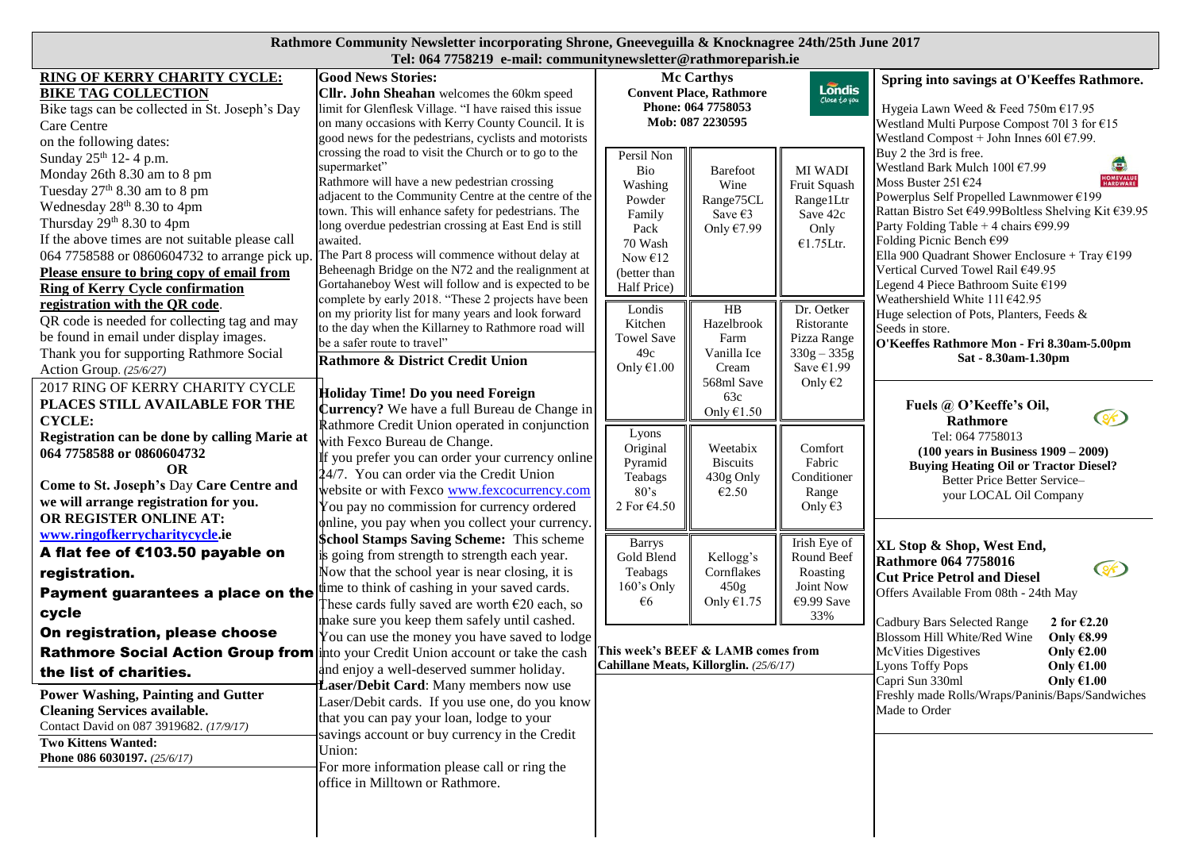## **Rathmore Community Newsletter incorporating Shrone, Gneeveguilla & Knocknagree 24th/25th June 2017 Tel: 064 7758219 e-mail: communitynewsletter@rathmoreparish.ie**

| RING OF KERRY CHARITY CYCLE:<br><b>BIKE TAG COLLECTION</b>                                                                                                                                                                                                                                                                                                            | <b>Good News Stories:</b><br>Cllr. John Sheahan welcomes the 60km speed                                                                                                                                                                                                                                                                                                                                                                                                      | <b>Mc Carthys</b><br>Londis<br><b>Convent Place, Rathmore</b><br>Close to you<br>Phone: 064 7758053<br>Mob: 087 2230595 |                                                                  |                                                                                 | Spring into savings at O'Keeffes Rathmore.                                                                                                                                                                                                                                                                                                                                                                                |
|-----------------------------------------------------------------------------------------------------------------------------------------------------------------------------------------------------------------------------------------------------------------------------------------------------------------------------------------------------------------------|------------------------------------------------------------------------------------------------------------------------------------------------------------------------------------------------------------------------------------------------------------------------------------------------------------------------------------------------------------------------------------------------------------------------------------------------------------------------------|-------------------------------------------------------------------------------------------------------------------------|------------------------------------------------------------------|---------------------------------------------------------------------------------|---------------------------------------------------------------------------------------------------------------------------------------------------------------------------------------------------------------------------------------------------------------------------------------------------------------------------------------------------------------------------------------------------------------------------|
| Bike tags can be collected in St. Joseph's Day<br>Care Centre<br>on the following dates:                                                                                                                                                                                                                                                                              | limit for Glenflesk Village. "I have raised this issue<br>on many occasions with Kerry County Council. It is<br>good news for the pedestrians, cyclists and motorists                                                                                                                                                                                                                                                                                                        |                                                                                                                         |                                                                  |                                                                                 | Hygeia Lawn Weed & Feed 750m €17.95<br>Westland Multi Purpose Compost 701 3 for €15<br>Westland Compost + John Innes 601 $€7.99$ .                                                                                                                                                                                                                                                                                        |
| Sunday 25 <sup>th</sup> 12-4 p.m.<br>Monday 26th 8.30 am to 8 pm<br>Tuesday $27th 8.30$ am to 8 pm<br>Wednesday 28 <sup>th</sup> 8.30 to 4pm<br>Thursday 29th 8.30 to 4pm<br>If the above times are not suitable please call<br>064 7758588 or 0860604732 to arrange pick up.<br>Please ensure to bring copy of email from<br><b>Ring of Kerry Cycle confirmation</b> | crossing the road to visit the Church or to go to the<br>supermarket"<br>Rathmore will have a new pedestrian crossing<br>adjacent to the Community Centre at the centre of the<br>town. This will enhance safety for pedestrians. The<br>long overdue pedestrian crossing at East End is still<br>awaited.<br>The Part 8 process will commence without delay at<br>Beheenagh Bridge on the N72 and the realignment at<br>Gortahaneboy West will follow and is expected to be | Persil Non<br>Bio<br>Washing<br>Powder<br>Family<br>Pack<br>70 Wash<br>Now $E12$<br>(better than<br>Half Price)         | Barefoot<br>Wine<br>Range75CL<br>Save $\epsilon$ 3<br>Only €7.99 | MI WADI<br>Fruit Squash<br>Range1Ltr<br>Save 42c<br>Only<br>€1.75Ltr.           | Buy 2 the 3rd is free.<br>Westland Bark Mulch 100l €7.99<br><b>HOMEVALUE</b><br>HARDWARE<br>Moss Buster 251 $E$ 24<br>Powerplus Self Propelled Lawnmower €199<br>Rattan Bistro Set €49.99Boltless Shelving Kit €39.95<br>Party Folding Table + 4 chairs €99.99<br>Folding Picnic Bench €99<br>Ella 900 Quadrant Shower Enclosure + Tray $£199$<br>Vertical Curved Towel Rail €49.95<br>Legend 4 Piece Bathroom Suite €199 |
| registration with the QR code.<br>QR code is needed for collecting tag and may<br>be found in email under display images.<br>Thank you for supporting Rathmore Social<br>Action Group. (25/6/27)                                                                                                                                                                      | complete by early 2018. "These 2 projects have been<br>on my priority list for many years and look forward<br>to the day when the Killarney to Rathmore road will<br>be a safer route to travel"<br>Rathmore & District Credit Union                                                                                                                                                                                                                                         | Londis<br>Kitchen<br><b>Towel Save</b><br>49c<br>Only $€1.00$                                                           | HB<br>Hazelbrook<br>Farm<br>Vanilla Ice<br>Cream                 | Dr. Oetker<br>Ristorante<br>Pizza Range<br>$330g - 335g$<br>Save $€1.99$        | Weathershield White 111€42.95<br>Huge selection of Pots, Planters, Feeds &<br>Seeds in store.<br>O'Keeffes Rathmore Mon - Fri 8.30am-5.00pm<br>Sat - 8.30am-1.30pm                                                                                                                                                                                                                                                        |
| 2017 RING OF KERRY CHARITY CYCLE<br>PLACES STILL AVAILABLE FOR THE<br><b>CYCLE:</b>                                                                                                                                                                                                                                                                                   | Holiday Time! Do you need Foreign<br>Currency? We have a full Bureau de Change in                                                                                                                                                                                                                                                                                                                                                                                            |                                                                                                                         | 568ml Save<br>63c<br>Only $€1.50$                                | Only $\epsilon$ 2                                                               | Fuels @ O'Keeffe's Oil,<br>$\circ$<br>Rathmore                                                                                                                                                                                                                                                                                                                                                                            |
| Registration can be done by calling Marie at<br>064 7758588 or 0860604732<br><b>OR</b><br>Come to St. Joseph's Day Care Centre and<br>we will arrange registration for you.<br>OR REGISTER ONLINE AT:                                                                                                                                                                 | <b>Rathmore Credit Union operated in conjunction</b><br>with Fexco Bureau de Change.<br>If you prefer you can order your currency online<br>24/7. You can order via the Credit Union<br>website or with Fexco www.fexcocurrency.com<br>You pay no commission for currency ordered<br>online, you pay when you collect your currency.                                                                                                                                         | Lyons<br>Original<br>Pyramid<br>Teabags<br>80's<br>2 For €4.50                                                          | Weetabix<br><b>Biscuits</b><br>430g Only<br>€2.50                | Comfort<br>Fabric<br>Conditioner<br>Range<br>Only €3                            | Tel: 064 7758013<br>$(100 \text{ years in Business } 1909 - 2009)$<br><b>Buying Heating Oil or Tractor Diesel?</b><br>Better Price Better Service-<br>your LOCAL Oil Company                                                                                                                                                                                                                                              |
| www.ringofkerrycharitycycle.ie<br>A flat fee of €103.50 payable on<br>registration.<br>Payment guarantees a place on the<br>cycle                                                                                                                                                                                                                                     | <b>\$chool Stamps Saving Scheme:</b> This scheme<br>is going from strength to strength each year.<br>Now that the school year is near closing, it is<br>time to think of cashing in your saved cards.<br>These cards fully saved are worth $\epsilon$ 20 each, so<br>make sure you keep them safely until cashed.                                                                                                                                                            | <b>Barrys</b><br>Gold Blend<br>Teabags<br>160's Only<br>€6                                                              | Kellogg's<br>Cornflakes<br>450g<br>Only $€1.75$                  | Irish Eye of<br>Round Beef<br>Roasting<br><b>Joint Now</b><br>€9.99 Save<br>33% | XL Stop & Shop, West End,<br><b>Rathmore 064 7758016</b><br>$\circledast$<br><b>Cut Price Petrol and Diesel</b><br>Offers Available From 08th - 24th May<br>Cadbury Bars Selected Range<br>2 for $\epsilon$ 2.20                                                                                                                                                                                                          |
| On registration, please choose<br><b>Rathmore Social Action Group from</b><br>the list of charities.                                                                                                                                                                                                                                                                  | You can use the money you have saved to lodge<br>into your Credit Union account or take the cash<br>and enjoy a well-deserved summer holiday.<br>Laser/Debit Card: Many members now use                                                                                                                                                                                                                                                                                      | This week's BEEF & LAMB comes from<br>Cahillane Meats, Killorglin. (25/6/17)                                            |                                                                  |                                                                                 | Blossom Hill White/Red Wine<br>Only €8.99<br><b>McVities Digestives</b><br>Only $62.00$<br>Lyons Toffy Pops<br>Only $£1.00$<br>Capri Sun 330ml<br>Only $61.00$                                                                                                                                                                                                                                                            |
| <b>Power Washing, Painting and Gutter</b><br><b>Cleaning Services available.</b><br>Contact David on 087 3919682. (17/9/17)<br><b>Two Kittens Wanted:</b><br>Phone 086 6030197. (25/6/17)                                                                                                                                                                             | Laser/Debit cards. If you use one, do you know<br>that you can pay your loan, lodge to your<br>savings account or buy currency in the Credit<br>Union:<br>For more information please call or ring the<br>office in Milltown or Rathmore.                                                                                                                                                                                                                                    |                                                                                                                         |                                                                  |                                                                                 | Freshly made Rolls/Wraps/Paninis/Baps/Sandwiches<br>Made to Order                                                                                                                                                                                                                                                                                                                                                         |